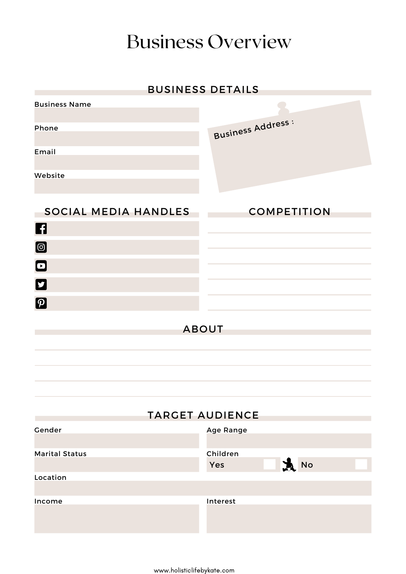#### Business Overview

#### BUSINESS DETAILS

| <b>Business Name</b>       |                                       |
|----------------------------|---------------------------------------|
| Phone                      | <b>Business Address:</b>              |
| Email                      |                                       |
| Website                    |                                       |
| SOCIAL MEDIA HANDLES       | <b>COMPETITION</b>                    |
| 6                          |                                       |
| $\blacksquare$             |                                       |
| $\blacksquare$             |                                       |
| O                          |                                       |
| $\boldsymbol{\mathcal{D}}$ |                                       |
|                            | <b>ABOUT</b>                          |
|                            |                                       |
|                            |                                       |
|                            |                                       |
|                            | <b>TARGET AUDIENCE</b>                |
| Gender                     | <b>Age Range</b>                      |
| <b>Marital Status</b>      | Children<br>$\mathbf{A}$<br>No<br>Yes |
| Location                   |                                       |
| Income                     | Interest                              |
|                            |                                       |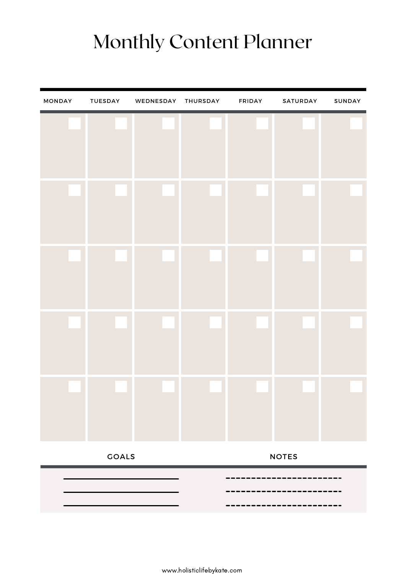### Monthly Content Planner

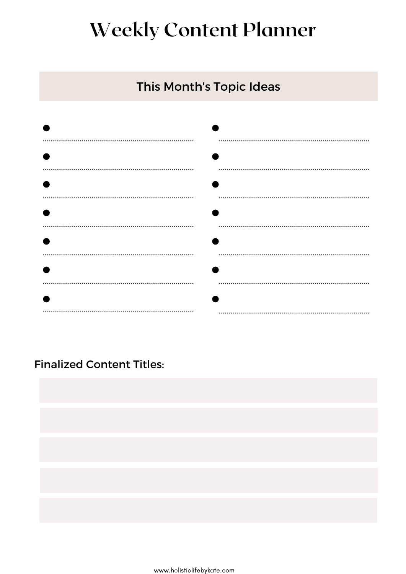#### **Weekly Content Planner**

#### This Month's Topic Ideas

| <br> |
|------|
|      |
|      |
|      |
|      |
|      |
|      |
|      |
|      |
|      |
|      |

#### Finalized Content Titles:

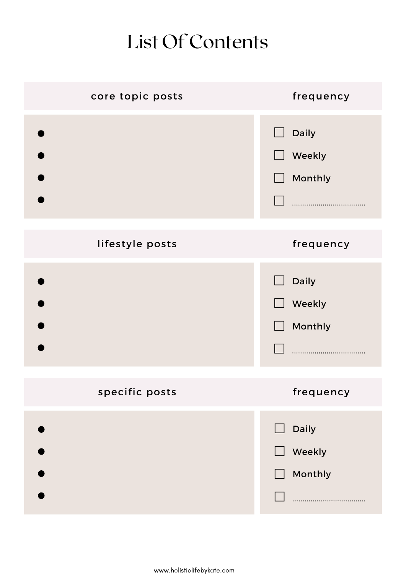### List Of Contents

| core topic posts | frequency                            |
|------------------|--------------------------------------|
|                  | <b>Daily</b><br>Weekly<br>Monthly    |
| lifestyle posts  | frequency                            |
|                  | <b>Daily</b><br>Weekly<br>Monthly    |
| specific posts   | frequency                            |
|                  | Daily<br>$\Box$<br>Weekly<br>Monthly |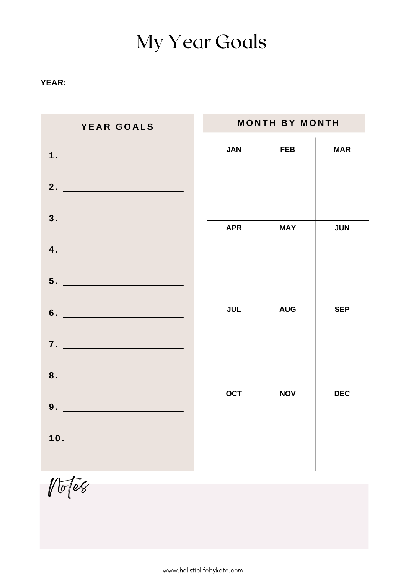### My Year Goals

#### **YEAR:**

| YEAR GOALS                    |            | <b>MONTH BY MONTH</b> |            |
|-------------------------------|------------|-----------------------|------------|
| $\mathbf{1.}$                 | <b>JAN</b> | <b>FEB</b>            | <b>MAR</b> |
| 2. $\qquad \qquad$            |            |                       |            |
| $\overline{4.}$               | <b>APR</b> | <b>MAY</b>            | <b>JUN</b> |
|                               |            |                       |            |
| $6.$ $\overline{\phantom{a}}$ | <b>JUL</b> | <b>AUG</b>            | <b>SEP</b> |
| 7.                            |            |                       |            |
| 8.                            |            |                       |            |
| 9.                            | <b>OCT</b> | <b>NOV</b>            | <b>DEC</b> |
| 10.                           |            |                       |            |
|                               |            |                       |            |

Notes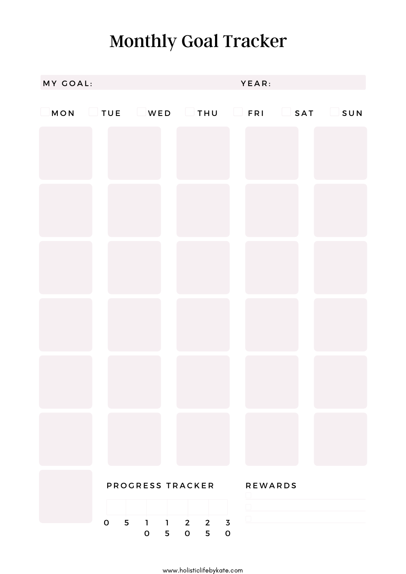### Monthly Goal Tracker

| MY GOAL: |                                 |            |                                                                              | YEAR:  |  |
|----------|---------------------------------|------------|------------------------------------------------------------------------------|--------|--|
|          |                                 |            | $\Box$ MON $\Box$ TUE $\Box$ WED $\Box$ THU $\Box$ FRI $\Box$ SAT $\Box$ SUN |        |  |
|          |                                 |            |                                                                              |        |  |
|          |                                 |            |                                                                              |        |  |
|          |                                 |            |                                                                              |        |  |
|          |                                 |            |                                                                              |        |  |
|          |                                 |            |                                                                              |        |  |
|          |                                 |            |                                                                              |        |  |
|          |                                 |            |                                                                              |        |  |
|          |                                 |            |                                                                              |        |  |
|          |                                 |            |                                                                              |        |  |
|          |                                 |            |                                                                              |        |  |
|          |                                 |            |                                                                              |        |  |
|          |                                 |            |                                                                              |        |  |
|          |                                 |            |                                                                              |        |  |
|          |                                 |            |                                                                              |        |  |
|          |                                 |            |                                                                              |        |  |
|          |                                 |            |                                                                              |        |  |
|          |                                 |            |                                                                              |        |  |
|          |                                 |            | PROGRESS TRACKER REWARDS                                                     |        |  |
|          |                                 |            |                                                                              | $\Box$ |  |
|          | $\mathsf{O}$<br>$5\phantom{.0}$ | $0\quad 5$ | $1$ 1 2 2 3<br>0 5 0                                                         | $\Box$ |  |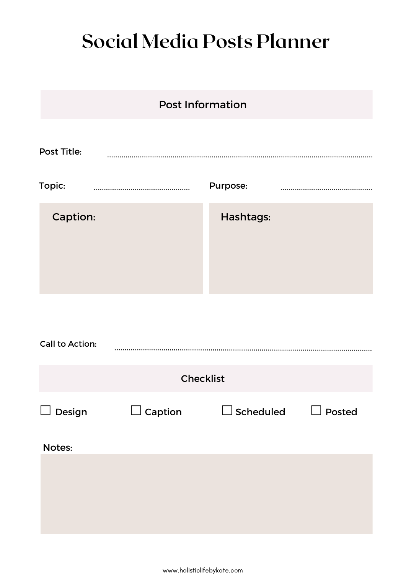### **Social Media Posts Planner**

|                        | <b>Post Information</b> |                  |        |
|------------------------|-------------------------|------------------|--------|
| <b>Post Title:</b>     |                         |                  |        |
| Topic:                 |                         | Purpose:         |        |
| Caption:               |                         | Hashtags:        |        |
| <b>Call to Action:</b> |                         |                  |        |
|                        | <b>Checklist</b>        |                  |        |
| Design                 | Caption                 | $\Box$ Scheduled | Posted |
| Notes:                 |                         |                  |        |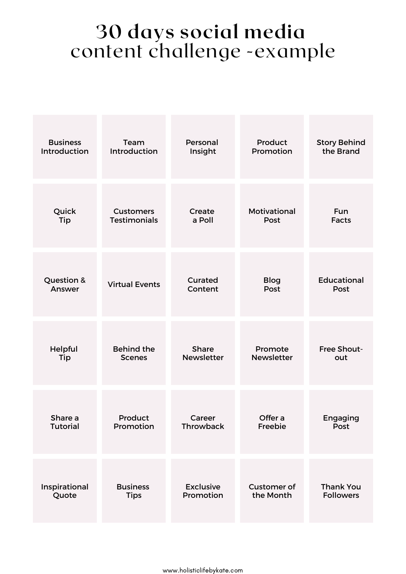#### **30 days social media** content challenge -example

| <b>Business</b> | Team                  | Personal          | Product            | <b>Story Behind</b> |
|-----------------|-----------------------|-------------------|--------------------|---------------------|
| Introduction    | Introduction          | Insight           | Promotion          | the Brand           |
| Quick           | <b>Customers</b>      | Create            | Motivational       | Fun                 |
| Tip             | <b>Testimonials</b>   | a Poll            | Post               | <b>Facts</b>        |
| Question &      | <b>Virtual Events</b> | Curated           | <b>Blog</b>        | <b>Educational</b>  |
| Answer          |                       | Content           | Post               | Post                |
| Helpful         | <b>Behind the</b>     | <b>Share</b>      | Promote            | <b>Free Shout-</b>  |
| Tip             | <b>Scenes</b>         | <b>Newsletter</b> | <b>Newsletter</b>  | out                 |
| Share a         | Product               | Career            | Offer a            | Engaging            |
| Tutorial        | Promotion             | Throwback         | Freebie            | Post                |
| Inspirational   | <b>Business</b>       | <b>Exclusive</b>  | <b>Customer of</b> | <b>Thank You</b>    |
| Quote           | <b>Tips</b>           | Promotion         | the Month          | <b>Followers</b>    |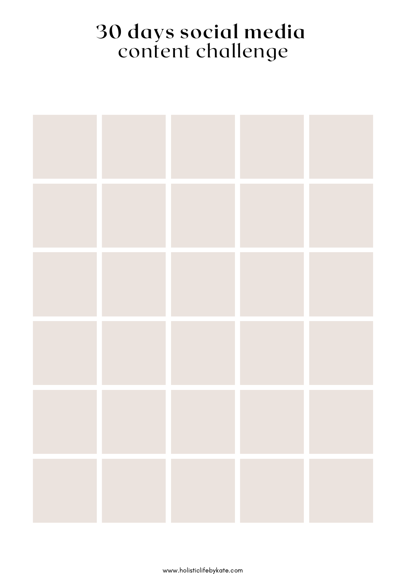#### **30 days social media** content challenge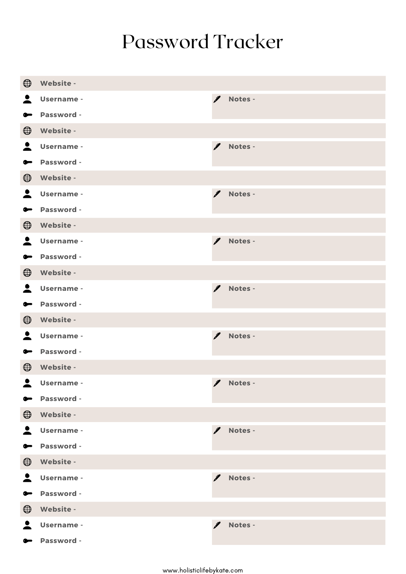#### Password Tracker

| $\bigoplus$      | Website -         |               |           |
|------------------|-------------------|---------------|-----------|
| $\blacktriangle$ | <b>Username -</b> | $\mathscr{I}$ | Notes -   |
| $\bullet$        | Password -        |               |           |
| $\bigoplus$      | Website -         |               |           |
| $\blacktriangle$ | <b>Username -</b> | I             | Notes -   |
| $\bullet$        | Password -        |               |           |
| $\bigoplus$      | Website -         |               |           |
| $\blacktriangle$ | Username -        | $\mathscr{I}$ | Notes -   |
| $\bullet$        | Password -        |               |           |
| $\bigoplus$      | Website -         |               |           |
| $\blacktriangle$ | Username -        | I             | Notes -   |
| $\bullet$        | Password -        |               |           |
| $\bigoplus$      | Website -         |               |           |
| $\blacktriangle$ | Username -        | I             | Notes -   |
| $\bullet$        | Password -        |               |           |
| $\bigoplus$      | Website -         |               |           |
| $\blacktriangle$ | Username -        | I             | Notes -   |
| $\bullet$        | Password -        |               |           |
| $\bigoplus$      | Website -         |               |           |
| $\blacktriangle$ | <b>Username -</b> |               | / Notes - |
| $\bullet$        | Password -        |               |           |
| $\bigoplus$      | Website -         |               |           |
| $\blacktriangle$ | Username -        | $\mathscr{I}$ | Notes -   |
| $\bullet$        | Password -        |               |           |
| $\bigoplus$      | Website -         |               |           |
| $\blacktriangle$ | Username -        | I             | Notes -   |
| $\bullet$        | Password -        |               |           |
| $\bigoplus$      | Website -         |               |           |
| 2                | Username -        | I             | Notes -   |
| $\bullet$        | Password -        |               |           |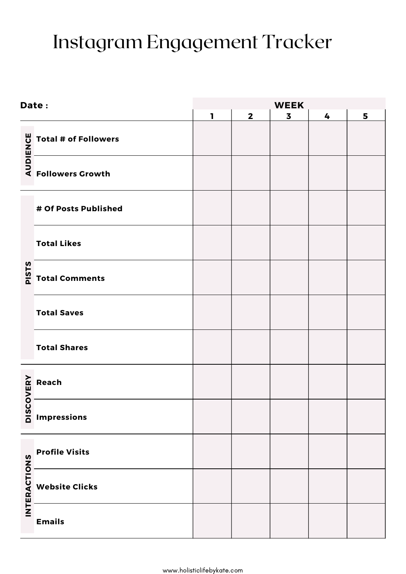## Instagram Engagement Tracker

|                     | Date:                                                                                                                                   | <b>WEEK</b>  |                |                         |   |   |
|---------------------|-----------------------------------------------------------------------------------------------------------------------------------------|--------------|----------------|-------------------------|---|---|
|                     |                                                                                                                                         | $\mathbf{I}$ | $\overline{2}$ | $\overline{\mathbf{3}}$ | 4 | 5 |
|                     |                                                                                                                                         |              |                |                         |   |   |
|                     |                                                                                                                                         |              |                |                         |   |   |
|                     | # Of Posts Published                                                                                                                    |              |                |                         |   |   |
|                     | <b>Total Likes</b>                                                                                                                      |              |                |                         |   |   |
|                     | $\frac{5}{\frac{5}{\alpha}}$ Total Comments                                                                                             |              |                |                         |   |   |
|                     | <b>Total Saves</b>                                                                                                                      |              |                |                         |   |   |
|                     | <b>Total Shares</b>                                                                                                                     |              |                |                         |   |   |
|                     | <b>Argentis</b><br><b>Argentism</b><br><b>Argentism</b><br><b>Argentism</b><br><b>Argentism</b><br><b>Argentism</b><br><b>Argentism</b> |              |                |                         |   |   |
|                     |                                                                                                                                         |              |                |                         |   |   |
|                     | <b>Profile Visits</b>                                                                                                                   |              |                |                         |   |   |
| <b>INTERACTIONS</b> | <b>Website Clicks</b>                                                                                                                   |              |                |                         |   |   |
|                     | <b>Emails</b>                                                                                                                           |              |                |                         |   |   |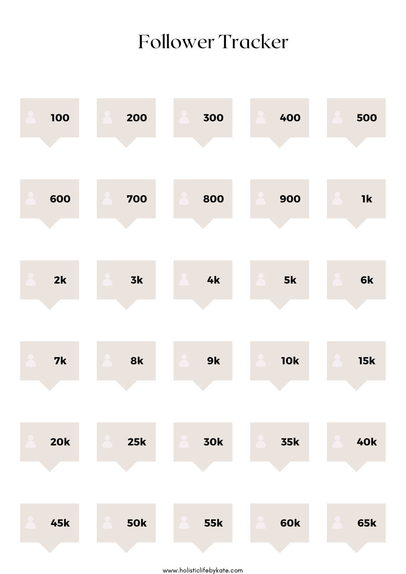#### Follower Tracker

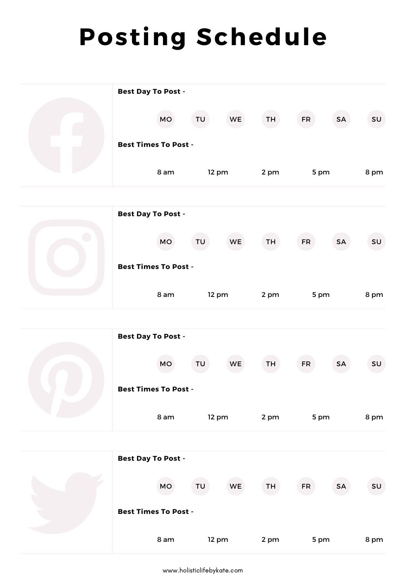# **Posting Schedule**

| <b>Best Day To Post -</b>   |       |           |           |           |           |               |
|-----------------------------|-------|-----------|-----------|-----------|-----------|---------------|
| MO                          | TU    | <b>WE</b> | TH        | <b>FR</b> | <b>SA</b> | SU            |
| <b>Best Times To Post -</b> |       |           |           |           |           |               |
| 8 am                        | 12 pm |           | 2 pm      | 5 pm      |           | 8 pm          |
|                             |       |           |           |           |           |               |
| <b>Best Day To Post -</b>   |       |           |           |           |           |               |
| <b>MO</b>                   | TU    | <b>WE</b> | TH        | <b>FR</b> | <b>SA</b> | SU            |
| <b>Best Times To Post -</b> |       |           |           |           |           |               |
| 8 am                        | 12 pm |           | 2 pm      | 5 pm      |           | 8 pm          |
|                             |       |           |           |           |           |               |
| <b>Best Day To Post -</b>   |       |           |           |           |           |               |
| MO                          | TU    | WE        | TH        | <b>FR</b> | <b>SA</b> | SU            |
| <b>Best Times To Post -</b> |       |           |           |           |           |               |
| 8 am                        | 12 pm |           | 2 pm      | 5 pm      |           | 8 pm          |
|                             |       |           |           |           |           |               |
| <b>Best Day To Post -</b>   |       |           |           |           |           |               |
| MO                          | TU    | WE        | <b>TH</b> | <b>FR</b> | SA        | $\textsf{SU}$ |
| <b>Best Times To Post -</b> |       |           |           |           |           |               |
| 8 am                        | 12 pm |           | 2 pm      | 5 pm      |           | 8 pm          |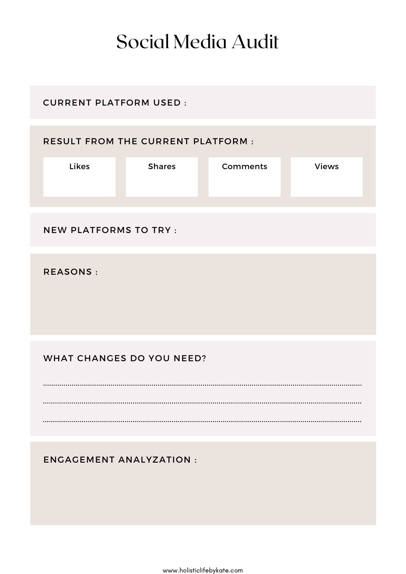#### Social Media Audit

#### CURRENT PLATFORM USED :

#### RESULT FROM THE CURRENT PLATFORM :

| <b>Likes</b> | <b>Shares</b> | <b>Comments</b> | <b>Views</b> |
|--------------|---------------|-----------------|--------------|
|              |               |                 |              |

#### NEW PLATFORMS TO TRY :

REASONS :

#### WHAT CHANGES DO YOU NEED?

ENGAGEMENT ANALYZATION :

www.holisticlifebykate.com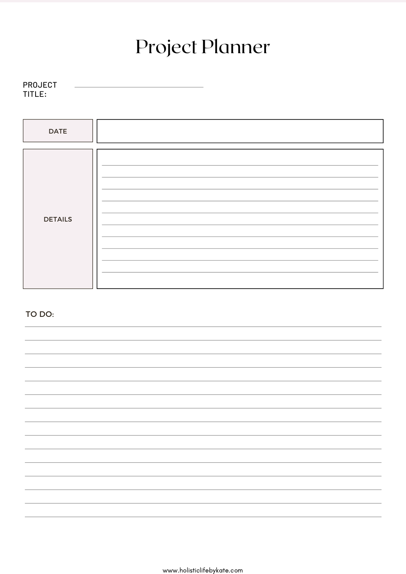## Project Planner

| <b>PROJECT</b> |  |  |
|----------------|--|--|
| TITLE:         |  |  |

| <b>DATE</b>    |  |
|----------------|--|
|                |  |
| <b>DETAILS</b> |  |
|                |  |
|                |  |
|                |  |
|                |  |
|                |  |
|                |  |
|                |  |
|                |  |
|                |  |
|                |  |
|                |  |

TO DO: